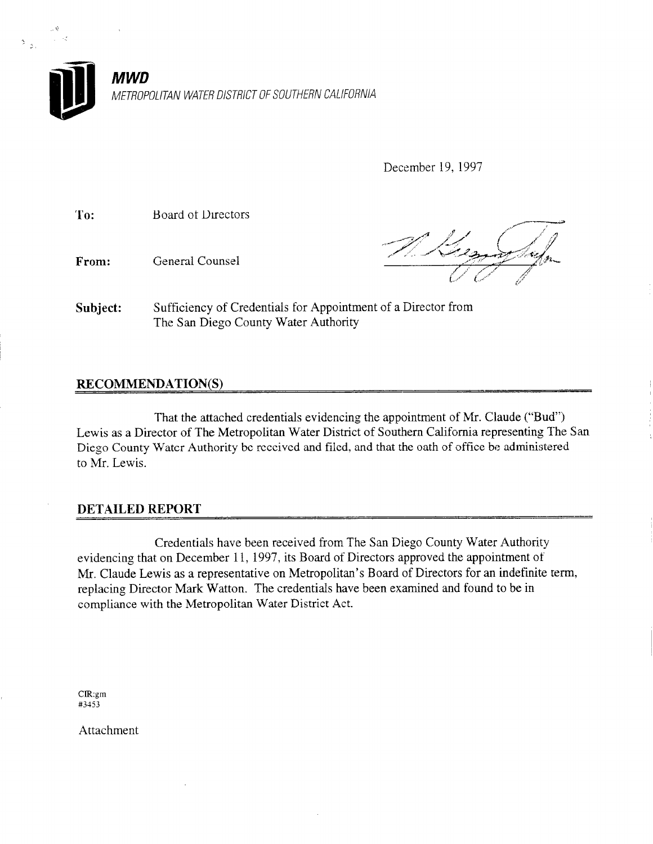

December 19, 1997

To: Board of Directors

From: General Counsel

Subject: Sufficiency of Credentials for Appointment of a Director from The San Diego County Water Authority

## RECOMMENDATION(S)

That the attached credentials evidencing the appointment of Mr. Claude ("Bud") Lewis as a Director of The Metropolitan Water District of Southern California representing The San Diego County Water Authority be received and filed, and that the oath of office be administered to Mr. Lewis.

### DETAILED REPORT

Credentials have been received from The San Diego County Water Authority evidencing that on December 11, 1997, its Board of Directors approved the appointment of Mr. Claude Lewis as a representative on Metropolitan's Board of Directors for an indefinite term, replacing Director Mark Watton. The credentials have been examined and found to be in compliance with the Metropolitan Water District Act.

ClR:gm  $c$ ik.gm

Attachment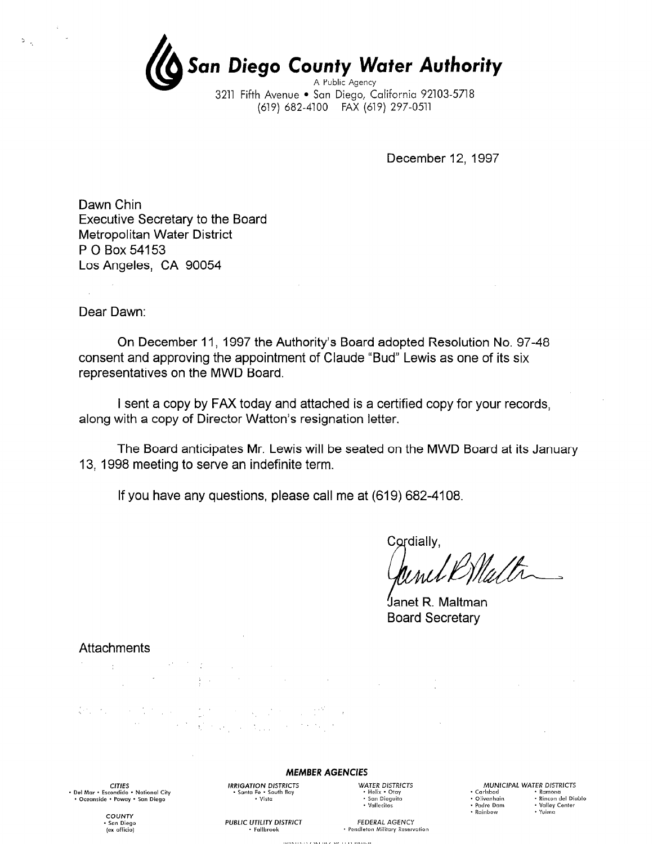(G San Diego Co an Diego County Water Authori w A Public Agenc 3211 Fifth Avenue · San Diego, California 92103-5718

(619) 682-4100 FAX (619) 297-0511

December 12, 1997

Dawn Chin Executive Secretary to the Board Metropolitan Water District P 0 Box 54153 Los Angeles, CA 90054

Dear Dawn:

 $\frac{1}{2}$ 

On December 11, 1997 the Authority's Board adopted Resolution No. 97-48 consent and approving the appointment of Claude "Bud" Lewis as one of its six representatives on the MWD Board.

I sent a copy by FAX today and attached is a certified copy for your records, along with a copy of Director Watton's resignation letter.

The Board anticipates Mr. Lewis will be seated on the MWD Board at its January 13, 1998 meeting to serve an indefinite term.

If you have any questions, please call me at (619) 682-4108.

Cordially.

Janet R\_Maltman Board Secretary

 $\mathcal{L}$ 

#### Attachments

 $\label{eq:2} \mathcal{L}(\mathcal{D}) = \mathcal{L}(\mathcal{D}) \mathcal{L}(\mathcal{D}) = \mathcal{L}(\mathcal{D})$  $\label{eq:2.1} \mathcal{L}^{\mathcal{L}}(\mathcal{L}^{\mathcal{L}}(\mathcal{L}^{\mathcal{L}}(\mathcal{L}^{\mathcal{L}}(\mathcal{L}^{\mathcal{L}}(\mathcal{L}^{\mathcal{L}}(\mathcal{L}^{\mathcal{L}}(\mathcal{L}^{\mathcal{L}}(\mathcal{L}^{\mathcal{L}}(\mathcal{L}^{\mathcal{L}}(\mathcal{L}^{\mathcal{L}}(\mathcal{L}^{\mathcal{L}}(\mathcal{L}^{\mathcal{L}}(\mathcal{L}^{\mathcal{L}}(\mathcal{L}^{\mathcal{L}}(\mathcal{L}^{\mathcal{L}}(\mathcal$  $\sim 100$ 

 $\begin{split} \mathcal{L}^2\mathcal{L}_\mu\left(\mathcal{L}_\mu\right) & = \mathcal{L}_\mu\left(\mathcal{L}_\mu\right)\mathcal{L}_\mu\left(\mathcal{L}_\mu\right) = \mathcal{L}_\mu\left(\mathcal{L}_\mu\right)\mathcal{L}_\mu\left(\mathcal{L}_\mu\right)\mathcal{L}_\mu\left(\mathcal{L}_\mu\right) \\ & = \mathcal{L}_\mu\left(\mathcal{L}_\mu\right)\mathcal{L}_\mu\left(\mathcal{L}_\mu\right)\mathcal{L}_\mu\left(\mathcal{L}_\mu\right)\mathcal{L}_\mu\left(\mathcal{L}_\mu$ 

CITIES<br>Del Mar + Escondido + National City + Oceanside • Poway • San Diego

MEMBER AGENCIES IRRIGATION DISTRICTS<br>• Sonto Fe • South Boy<br>• Helix • Otoy

**UNITED ON BECWELED BARER** 

 $\cdot$  Vista

· Fallbrook

\* San Dieguito<br>\* Vallecitos

MUNICIPAL WATER DISTRICTS . 0livenhoin . Rincon del Dioblo . Padre DOnl . Volley Center \* Circumum<br>• Padre Dam \* Valley Center

 $\cdot$  Yuima

· Rainbow

COUNTY San Diego fex officiol

PUBLIC UTILITY DISTRICT FEDERAL AGENCY · Pendleton Military Reservation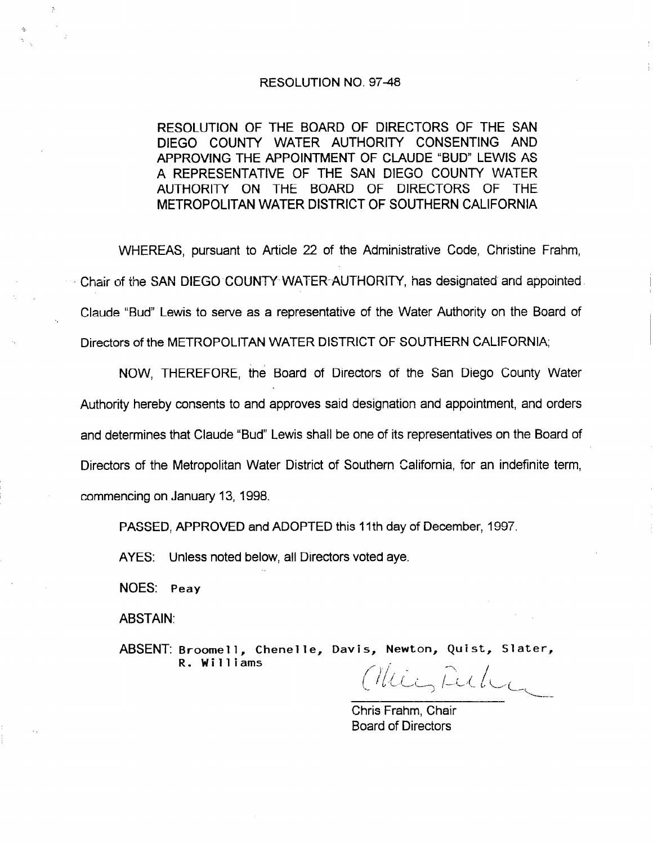#### RESOLUTION NO. 9748

RESOLUTION OF THE BOARD OF DIRECTORS OF THE SAN DIEGO COUNTY WATER AUTHORITY CONSENTING AND APPROVING THE APPOINTMENT OF CLAUDE "BUD" LEWIS AS A REPRESENTATIVE OF THE SAN DIEGO COUNTY WATER AUTHORITY ON THE BOARD OF DIRECTORS OF THE METROPOLITAN WATER DISTRICT OF SOUTHERN CALIFORNIA

WHEREAS, pursuant to Article 22 of the Administrative Code, Christine Frahm, Chair of the SAN DIEGO COUNTY WATER-AUTHORITY, has designated and appointed Claude "Bud" Lewis to serve as a representative of the Water Authority on the Board of Directors of the METROPOLITAN WATER DISTRICT OF SOUTHERN CALIFORNIA;

NOW, THEREFORE, the Board of Directors of the San Diego County Water Authority hereby consents to and approves said designation and appointment, and orders and determines that Claude "Bud" Lewis shall be one of its representatives on the Board of Directors of the Metropolitan Water District of Southern California, for an indefinite term, commencing on January 13, 1998.

PASSED, APPROVED and ADOPTED this 11th day of December, 1997.

AYES: Unless noted below, all Directors voted aye.

NOES: Peay

ABSTAIN:

ABSENT: Broomell, Chenelle, Davis, Newton, Quist, Slater, R. Williams

Mici, Fulic

Chris Frahm, Chair Board of Directors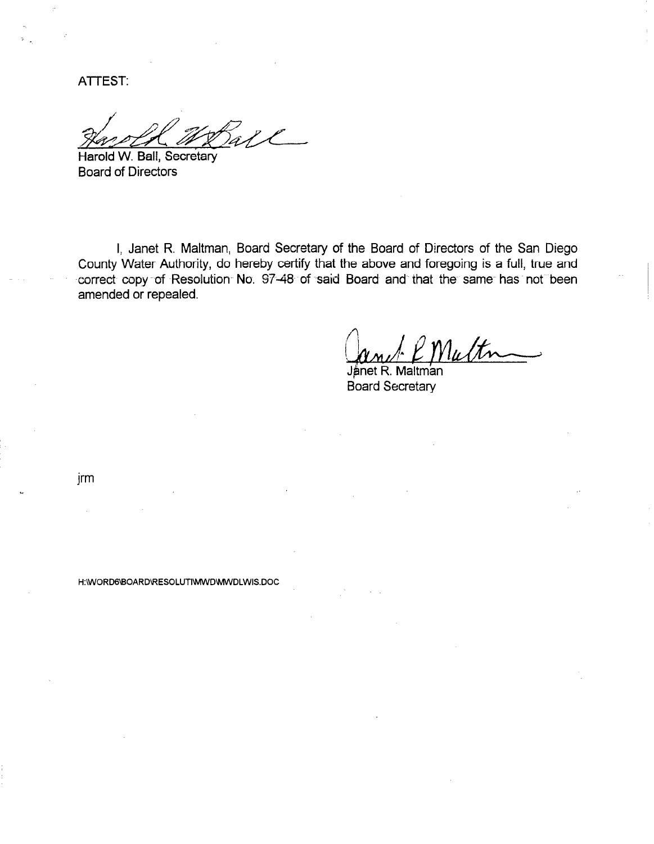**ATTEST:** 

H:\WORD6\BOARD\RESOLUTI\WWD\WWDLWIS.DOC

Harold W. Ball, Secretary Board of Directors

I, Janet R. Maltman, Board Secretary of the Board of Directors of the San Diego County Water Authority, do hereby certify that the above and foregoing is a full, true and -correct copy of Resolution No. 97-48 of said Board and that the same has not been amended or repealed.

With

Jånet R. Board Secretary

jrm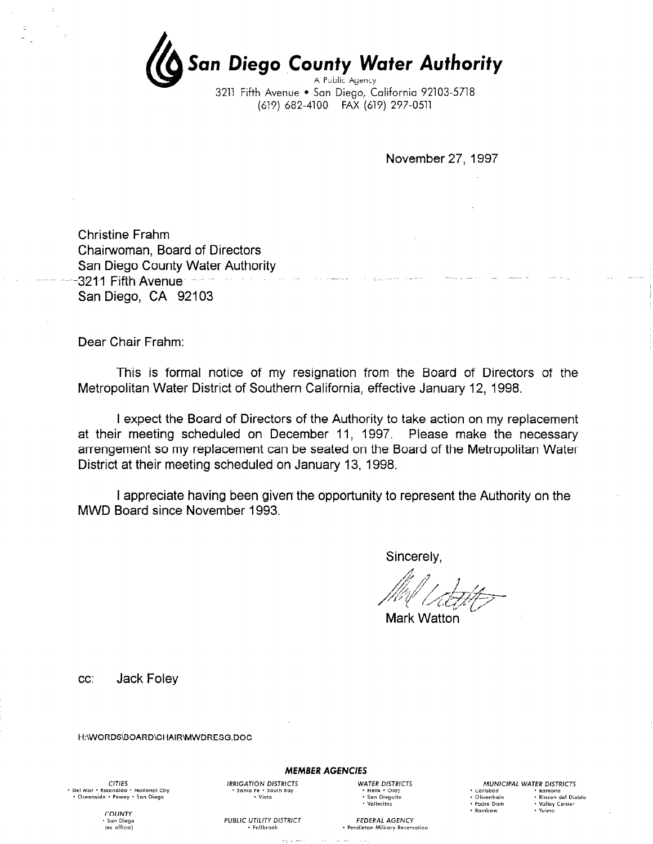<u>.</u><br>San Diego County Water Authori A Public Agenc 3211 Fifth Avenue • San Diego, California 92103-5718

(619) 682-4100 FAX (619) 297-0511

November 27, 1997

Christine Frahm Chairwoman, Board of Directors San Diego County Water Authority  $-3211$  Fifth Avenue  $-$ San Diego, CA 92103

Dear Chair Frahm:

This is formal notice of my resignation from the Board of Directors of the Metropolitan Water District of Southern California, effective January 12, 1998.

I expect the Board of Directors of the Authority to take action on my replacement at their meeting scheduled on December 11, 1997. Please make the necessary arrengement so my replacement can be seated on the Board of the Metropolitan Water District at their meeting scheduled on January 13, 1998.

I appreciate having been given the opportunity to represent the Authority on the MWD Board since November 1993.

Sincerely,

Mark Watton

cc: Jack Foley

H:\WORDG\BOARD\CHAIR\MWDRESG.DOC

**CITIES** CTTES<br>Del Mar = Escondido = National City = Oceanside . Poway . San Diego

IRRIGATION DISTRICTS WATER DISTRICTS . Santa Fe . South Boy . Santa Fe . South Boy . Helix . Otoy . Santa Fe . South Boy . San Dieguito . San Dieguito Pe South Bay **. Product Community Product** Product Product Product Product Product Product Product Product Product Product Product Product Product Product Product Product Product Product Product Product Product Product Pro

Falibrook

· Vallecitos

MUNICIPAL WATER DISTRICTS . Particular terms in the Ramond .<br>
• Carlsbad . Ramond . Rincon del Di<br>
• Padre Dam . Valley Center . Carlsbad . Ramona<br>- Olivenhoin . Rincon del Dishi · Rainbow · Yuima

COUNTY San Diego  $(ex \; \text{offico})$ 

PUBLIC UTILITY DISTRICT FEDERAL AGENCY

MEMBER AGENCIES

· Pendleton Military Reservation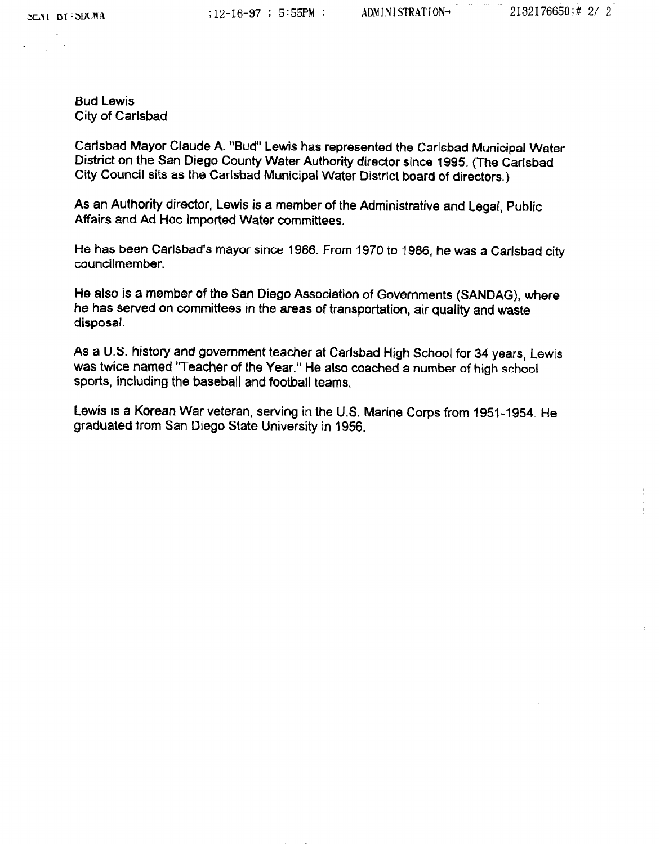$\sigma_{\rm{max}}$ 

Bud Lewis City of Carlsbad

Carlsbad Mayor Claude A. "Bud" Lewis has represented the Carlsbad Municipal Water District on the San Diego County Water Authority director since 1995. (The Carlsbad City Council sits as the Carlsbad Municipal Water District board of directors.)

As an Authority director, Lewis is a member of the Administrative and Legal, Public Affairs and Ad Hoc Imported Water committees.

He has been Carlsbad's mayor since 1986. From 1970 to 1986, he was a Carlsbad city councilmember.

He also is a member of the San Diego Association of Governments (SANDAG), where he has served on committees in the areas of transportation, air quality and waste disposal.

As a U.S. history and government teacher at Carlsbad High School for 34 years, Lewis was twice named "Teacher of the Year." He also coached a number of high school sports, including the baseball and football teams.

Lewis is a Korean War veteran, sewing in the U.S. Marine Corps from 1951-1954. He graduated from San Diego State University in 1956.